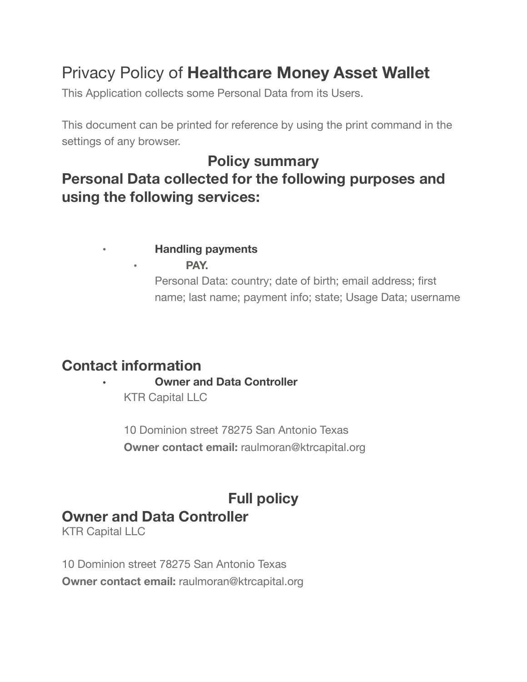# Privacy Policy of **Healthcare Money Asset Wallet**

This Application collects some Personal Data from its Users.

This document can be printed for reference by using the print command in the settings of any browser.

# **Policy summary Personal Data collected for the following purposes and using the following services:**

## • **Handling payments**

• **PAY.**

Personal Data: country; date of birth; email address; first name; last name; payment info; state; Usage Data; username

# **Contact information • Owner and Data Controller**

KTR Capital LLC

10 Dominion street 78275 San Antonio Texas **Owner contact email:** raulmoran@ktrcapital.org

## **Full policy Owner and Data Controller**

KTR Capital LLC

10 Dominion street 78275 San Antonio Texas **Owner contact email:** raulmoran@ktrcapital.org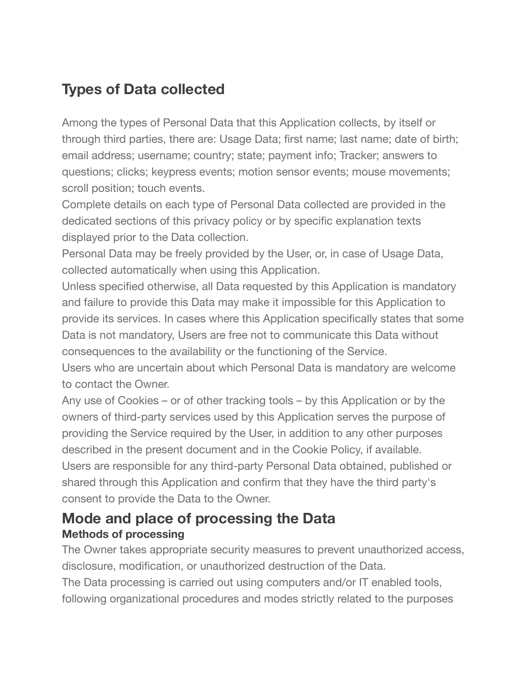# **Types of Data collected**

Among the types of Personal Data that this Application collects, by itself or through third parties, there are: Usage Data; first name; last name; date of birth; email address; username; country; state; payment info; Tracker; answers to questions; clicks; keypress events; motion sensor events; mouse movements; scroll position; touch events.

Complete details on each type of Personal Data collected are provided in the dedicated sections of this privacy policy or by specific explanation texts displayed prior to the Data collection.

Personal Data may be freely provided by the User, or, in case of Usage Data, collected automatically when using this Application.

Unless specified otherwise, all Data requested by this Application is mandatory and failure to provide this Data may make it impossible for this Application to provide its services. In cases where this Application specifically states that some Data is not mandatory, Users are free not to communicate this Data without consequences to the availability or the functioning of the Service.

Users who are uncertain about which Personal Data is mandatory are welcome to contact the Owner.

Any use of Cookies – or of other tracking tools – by this Application or by the owners of third-party services used by this Application serves the purpose of providing the Service required by the User, in addition to any other purposes described in the present document and in the Cookie Policy, if available. Users are responsible for any third-party Personal Data obtained, published or shared through this Application and confirm that they have the third party's consent to provide the Data to the Owner.

## **Mode and place of processing the Data Methods of processing**

The Owner takes appropriate security measures to prevent unauthorized access, disclosure, modification, or unauthorized destruction of the Data. The Data processing is carried out using computers and/or IT enabled tools, following organizational procedures and modes strictly related to the purposes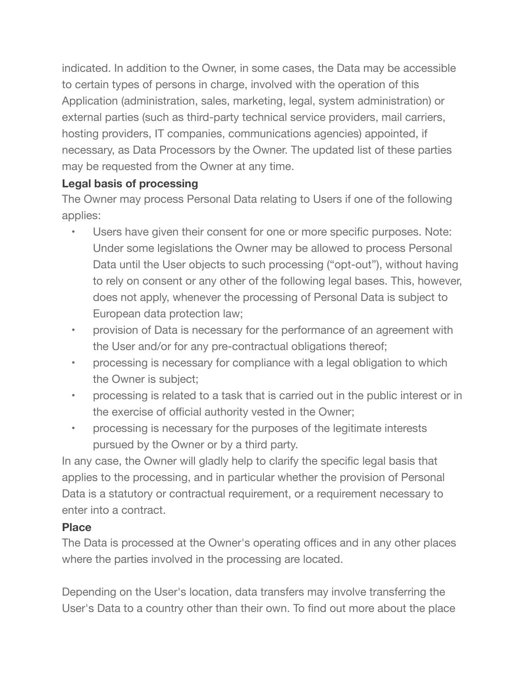indicated. In addition to the Owner, in some cases, the Data may be accessible to certain types of persons in charge, involved with the operation of this Application (administration, sales, marketing, legal, system administration) or external parties (such as third-party technical service providers, mail carriers, hosting providers, IT companies, communications agencies) appointed, if necessary, as Data Processors by the Owner. The updated list of these parties may be requested from the Owner at any time.

### **Legal basis of processing**

The Owner may process Personal Data relating to Users if one of the following applies:

- Users have given their consent for one or more specific purposes. Note: Under some legislations the Owner may be allowed to process Personal Data until the User objects to such processing ("opt-out"), without having to rely on consent or any other of the following legal bases. This, however, does not apply, whenever the processing of Personal Data is subject to European data protection law;
- provision of Data is necessary for the performance of an agreement with the User and/or for any pre-contractual obligations thereof;
- processing is necessary for compliance with a legal obligation to which the Owner is subject;
- processing is related to a task that is carried out in the public interest or in the exercise of official authority vested in the Owner;
- processing is necessary for the purposes of the legitimate interests pursued by the Owner or by a third party.

In any case, the Owner will gladly help to clarify the specific legal basis that applies to the processing, and in particular whether the provision of Personal Data is a statutory or contractual requirement, or a requirement necessary to enter into a contract.

#### **Place**

The Data is processed at the Owner's operating offices and in any other places where the parties involved in the processing are located.

Depending on the User's location, data transfers may involve transferring the User's Data to a country other than their own. To find out more about the place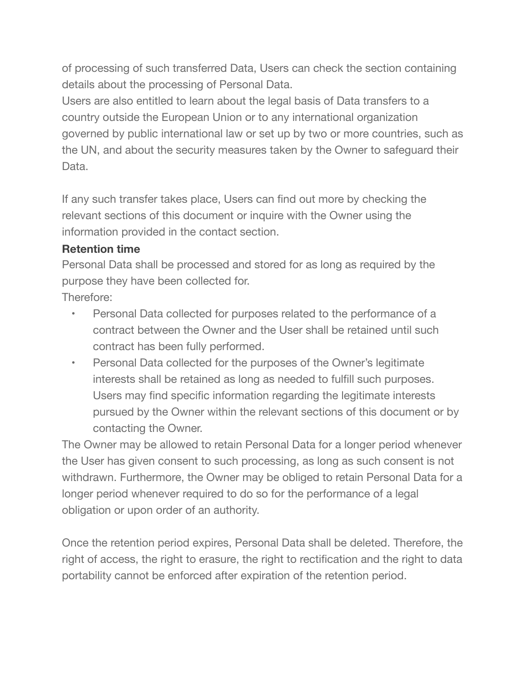of processing of such transferred Data, Users can check the section containing details about the processing of Personal Data.

Users are also entitled to learn about the legal basis of Data transfers to a country outside the European Union or to any international organization governed by public international law or set up by two or more countries, such as the UN, and about the security measures taken by the Owner to safeguard their Data.

If any such transfer takes place, Users can find out more by checking the relevant sections of this document or inquire with the Owner using the information provided in the contact section.

#### **Retention time**

Personal Data shall be processed and stored for as long as required by the purpose they have been collected for.

Therefore:

- Personal Data collected for purposes related to the performance of a contract between the Owner and the User shall be retained until such contract has been fully performed.
- Personal Data collected for the purposes of the Owner's legitimate interests shall be retained as long as needed to fulfill such purposes. Users may find specific information regarding the legitimate interests pursued by the Owner within the relevant sections of this document or by contacting the Owner.

The Owner may be allowed to retain Personal Data for a longer period whenever the User has given consent to such processing, as long as such consent is not withdrawn. Furthermore, the Owner may be obliged to retain Personal Data for a longer period whenever required to do so for the performance of a legal obligation or upon order of an authority.

Once the retention period expires, Personal Data shall be deleted. Therefore, the right of access, the right to erasure, the right to rectification and the right to data portability cannot be enforced after expiration of the retention period.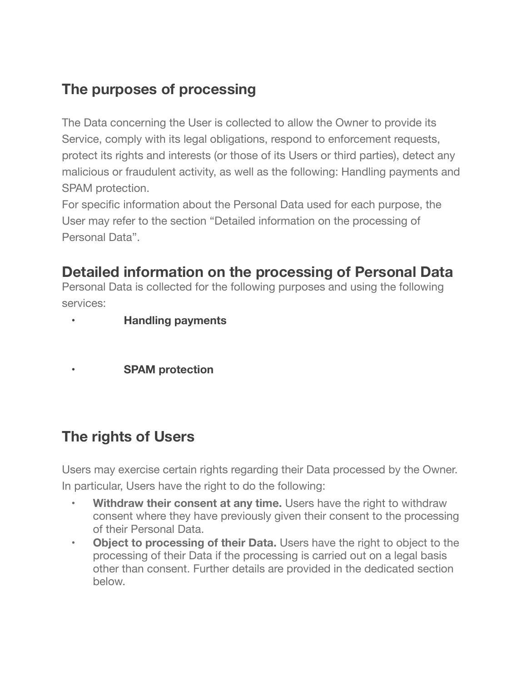# **The purposes of processing**

The Data concerning the User is collected to allow the Owner to provide its Service, comply with its legal obligations, respond to enforcement requests, protect its rights and interests (or those of its Users or third parties), detect any malicious or fraudulent activity, as well as the following: Handling payments and SPAM protection.

For specific information about the Personal Data used for each purpose, the User may refer to the section "Detailed information on the processing of Personal Data".

# **Detailed information on the processing of Personal Data**

Personal Data is collected for the following purposes and using the following services:

- **• Handling payments**
- **• SPAM protection**

## **The rights of Users**

Users may exercise certain rights regarding their Data processed by the Owner. In particular, Users have the right to do the following:

- **Withdraw their consent at any time.** Users have the right to withdraw consent where they have previously given their consent to the processing of their Personal Data.
- **• Object to processing of their Data.** Users have the right to object to the processing of their Data if the processing is carried out on a legal basis other than consent. Further details are provided in the dedicated section below.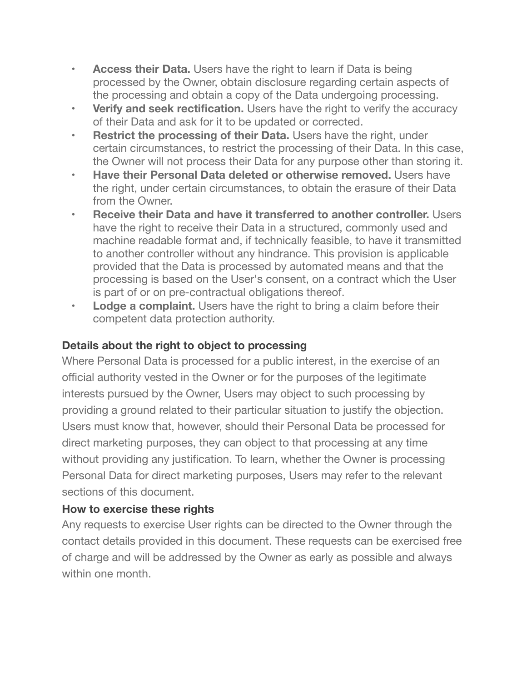- **• Access their Data.** Users have the right to learn if Data is being processed by the Owner, obtain disclosure regarding certain aspects of the processing and obtain a copy of the Data undergoing processing.
- **• Verify and seek rectification.** Users have the right to verify the accuracy of their Data and ask for it to be updated or corrected.
- **• Restrict the processing of their Data.** Users have the right, under certain circumstances, to restrict the processing of their Data. In this case, the Owner will not process their Data for any purpose other than storing it.
- **• Have their Personal Data deleted or otherwise removed.** Users have the right, under certain circumstances, to obtain the erasure of their Data from the Owner.
- **• Receive their Data and have it transferred to another controller.** Users have the right to receive their Data in a structured, commonly used and machine readable format and, if technically feasible, to have it transmitted to another controller without any hindrance. This provision is applicable provided that the Data is processed by automated means and that the processing is based on the User's consent, on a contract which the User is part of or on pre-contractual obligations thereof.
- **• Lodge a complaint.** Users have the right to bring a claim before their competent data protection authority.

#### **Details about the right to object to processing**

Where Personal Data is processed for a public interest, in the exercise of an official authority vested in the Owner or for the purposes of the legitimate interests pursued by the Owner, Users may object to such processing by providing a ground related to their particular situation to justify the objection. Users must know that, however, should their Personal Data be processed for direct marketing purposes, they can object to that processing at any time without providing any justification. To learn, whether the Owner is processing Personal Data for direct marketing purposes, Users may refer to the relevant sections of this document.

#### **How to exercise these rights**

Any requests to exercise User rights can be directed to the Owner through the contact details provided in this document. These requests can be exercised free of charge and will be addressed by the Owner as early as possible and always within one month.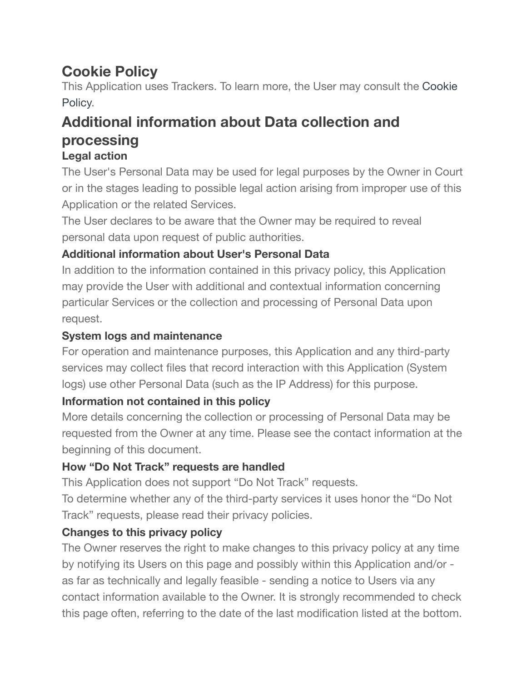# **Cookie Policy**

This Application uses Trackers. To learn more, the User may consult the [Cookie](https://www.iubenda.com/private/privacy-policy/2009278/cookie-policy?preview=true&ifr=true&height=564&newmarkup=no&an=no)  [Policy.](https://www.iubenda.com/private/privacy-policy/2009278/cookie-policy?preview=true&ifr=true&height=564&newmarkup=no&an=no)

# **Additional information about Data collection and processing**

### **Legal action**

The User's Personal Data may be used for legal purposes by the Owner in Court or in the stages leading to possible legal action arising from improper use of this Application or the related Services.

The User declares to be aware that the Owner may be required to reveal personal data upon request of public authorities.

### **Additional information about User's Personal Data**

In addition to the information contained in this privacy policy, this Application may provide the User with additional and contextual information concerning particular Services or the collection and processing of Personal Data upon request.

### **System logs and maintenance**

For operation and maintenance purposes, this Application and any third-party services may collect files that record interaction with this Application (System logs) use other Personal Data (such as the IP Address) for this purpose.

### **Information not contained in this policy**

More details concerning the collection or processing of Personal Data may be requested from the Owner at any time. Please see the contact information at the beginning of this document.

### **How "Do Not Track" requests are handled**

This Application does not support "Do Not Track" requests.

To determine whether any of the third-party services it uses honor the "Do Not Track" requests, please read their privacy policies.

### **Changes to this privacy policy**

The Owner reserves the right to make changes to this privacy policy at any time by notifying its Users on this page and possibly within this Application and/or as far as technically and legally feasible - sending a notice to Users via any contact information available to the Owner. It is strongly recommended to check this page often, referring to the date of the last modification listed at the bottom.